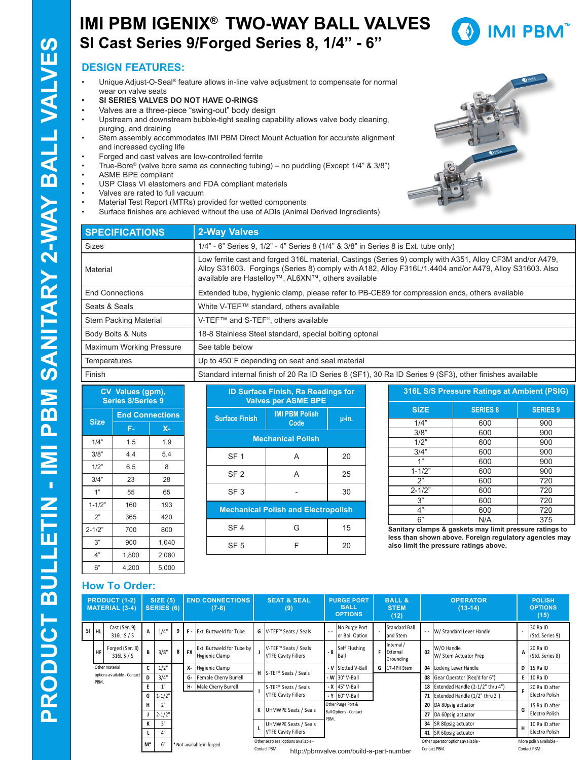### **IMI PBM IGENIX® TWO-WAY BALL VALVES SI Cast Series 9/Forged Series 8, 1/4" - 6"**



### **DESIGN FEATURES:**

- Unique Adjust-O-Seal® feature allows in-line valve adjustment to compensate for normal wear on valve seats
- **• SI SERIES VALVES DO NOT HAVE O-RINGS**
- Valves are a three-piece "swing-out" body design
- Upstream and downstream bubble-tight sealing capability allows valve body cleaning, purging, and draining
- Stem assembly accommodates IMI PBM Direct Mount Actuation for accurate alignment and increased cycling life
- Forged and cast valves are low-controlled ferrite
- True-Bore® (valve bore same as connecting tubing) no puddling (Except 1/4" & 3/8")
- ASME BPE compliant
- USP Class VI elastomers and FDA compliant materials
- Valves are rated to full vacuum
- Material Test Report (MTRs) provided for wetted components
- Surface finishes are achieved without the use of ADIs (Animal Derived Ingredients)



| <b>SPECIFICATIONS</b>        | <b>2-Way Valves</b>                                                                                                                                                                                                                                                      |
|------------------------------|--------------------------------------------------------------------------------------------------------------------------------------------------------------------------------------------------------------------------------------------------------------------------|
| <b>Sizes</b>                 | 1/4" - 6" Series 9, 1/2" - 4" Series 8 (1/4" & 3/8" in Series 8 is Ext. tube only)                                                                                                                                                                                       |
| Material                     | Low ferrite cast and forged 316L material. Castings (Series 9) comply with A351, Alloy CF3M and/or A479,<br>Alloy S31603. Forgings (Series 8) comply with A182, Alloy F316L/1.4404 and/or A479, Alloy S31603. Also<br>available are Hastelloy™, AL6XN™, others available |
| <b>End Connections</b>       | Extended tube, hygienic clamp, please refer to PB-CE89 for compression ends, others available                                                                                                                                                                            |
| Seats & Seals                | White V-TEF™ standard, others available                                                                                                                                                                                                                                  |
| <b>Stem Packing Material</b> | V-TEF™ and S-TEF®, others available                                                                                                                                                                                                                                      |
| Body Bolts & Nuts            | 18-8 Stainless Steel standard, special bolting optonal                                                                                                                                                                                                                   |
| Maximum Working Pressure     | See table below                                                                                                                                                                                                                                                          |
| <b>Temperatures</b>          | Up to 450°F depending on seat and seal material                                                                                                                                                                                                                          |
| Finish                       | Standard internal finish of 20 Ra ID Series 8 (SF1), 30 Ra ID Series 9 (SF3), other finishes available                                                                                                                                                                   |

| CV Values (gpm),<br><b>Series 8/Series 9</b> |                        |       |  |  |  |  |  |  |  |  |
|----------------------------------------------|------------------------|-------|--|--|--|--|--|--|--|--|
|                                              | <b>End Connections</b> |       |  |  |  |  |  |  |  |  |
| <b>Size</b>                                  | F-                     | $X -$ |  |  |  |  |  |  |  |  |
| 1/4"                                         | 1.5                    | 1.9   |  |  |  |  |  |  |  |  |
| 3/8"                                         | 4.4                    | 5.4   |  |  |  |  |  |  |  |  |
| 1/2"                                         | 6.5                    | 8     |  |  |  |  |  |  |  |  |
| 3/4"                                         | 23                     | 28    |  |  |  |  |  |  |  |  |
| 1"                                           | 55                     | 65    |  |  |  |  |  |  |  |  |
| $1 - 1/2"$                                   | 160                    | 193   |  |  |  |  |  |  |  |  |
| 2"                                           | 365                    | 420   |  |  |  |  |  |  |  |  |
| $2 - 1/2"$                                   | 700                    | 800   |  |  |  |  |  |  |  |  |
| 3"                                           | 900                    | 1,040 |  |  |  |  |  |  |  |  |
| 4"                                           | 1,800                  | 2,080 |  |  |  |  |  |  |  |  |
| 6"                                           | 4,200                  | 5,000 |  |  |  |  |  |  |  |  |

| <b>ID Surface Finish, Ra Readings for</b><br><b>Valves per ASME BPE</b> |                               |       |  |  |  |  |  |  |  |  |  |
|-------------------------------------------------------------------------|-------------------------------|-------|--|--|--|--|--|--|--|--|--|
| <b>Surface Finish</b>                                                   | <b>IMI PBM Polish</b><br>Code | u-in. |  |  |  |  |  |  |  |  |  |
| <b>Mechanical Polish</b>                                                |                               |       |  |  |  |  |  |  |  |  |  |
| SF <sub>1</sub>                                                         | A                             | 20    |  |  |  |  |  |  |  |  |  |
| SF <sub>2</sub>                                                         | A                             | 25    |  |  |  |  |  |  |  |  |  |
| SF <sub>3</sub>                                                         |                               | 30    |  |  |  |  |  |  |  |  |  |
| <b>Mechanical Polish and Electropolish</b>                              |                               |       |  |  |  |  |  |  |  |  |  |
| SF <sub>4</sub>                                                         | G                             | 15    |  |  |  |  |  |  |  |  |  |
| SF <sub>5</sub>                                                         | F                             | 20    |  |  |  |  |  |  |  |  |  |

| 316L S/S Pressure Ratings at Ambient (PSIG) |                 |                 |  |  |  |  |  |  |  |  |  |
|---------------------------------------------|-----------------|-----------------|--|--|--|--|--|--|--|--|--|
| <b>SIZE</b>                                 | <b>SERIES 8</b> | <b>SERIES 9</b> |  |  |  |  |  |  |  |  |  |
| 1/4"                                        | 600             | 900             |  |  |  |  |  |  |  |  |  |
| 3/8"                                        | 600             | 900             |  |  |  |  |  |  |  |  |  |
| 1/2"                                        | 600             | 900             |  |  |  |  |  |  |  |  |  |
| 3/4"                                        | 600             | 900             |  |  |  |  |  |  |  |  |  |
| 1"                                          | 600             | 900             |  |  |  |  |  |  |  |  |  |
| $1 - 1/2"$                                  | 600             | 900             |  |  |  |  |  |  |  |  |  |
| 2"                                          | 600             | 720             |  |  |  |  |  |  |  |  |  |
| $2 - 1/2"$                                  | 600             | 720             |  |  |  |  |  |  |  |  |  |
| 3"                                          | 600             | 720             |  |  |  |  |  |  |  |  |  |
| 4"                                          | 600             | 720             |  |  |  |  |  |  |  |  |  |
| 6"                                          | N/A             | 375             |  |  |  |  |  |  |  |  |  |

**Sanitary clamps & gaskets may limit pressure ratings to less than shown above. Foreign regulatory agencies may also limit the pressure ratings above.**

#### **How To Order:**

| <b>PRODUCT (1-2)</b><br><b>MATERIAL (3-4)</b> |                                  |       | SIZE(5)<br><b>SERIES (6)</b> |   |                   | <b>END CONNECTIONS</b><br>$(7-8)$                  | <b>SEAT &amp; SEAL</b><br>(9) |                                                                                                |                       | <b>PURGE PORT</b><br><b>BALL</b><br><b>OPTIONS</b> |  | <b>BALL &amp;</b><br><b>STEM</b><br>(12) | <b>OPERATOR</b><br>$(13-14)$ |                                                    |   | <b>POLISH</b><br><b>OPTIONS</b><br>(15) |
|-----------------------------------------------|----------------------------------|-------|------------------------------|---|-------------------|----------------------------------------------------|-------------------------------|------------------------------------------------------------------------------------------------|-----------------------|----------------------------------------------------|--|------------------------------------------|------------------------------|----------------------------------------------------|---|-----------------------------------------|
| SI HL                                         | Cast (Ser. 9)<br>316L S / S      | A     | 1/4"                         | 9 |                   | F - Ext. Buttweld for Tube                         |                               | G V-TEF™ Seats / Seals                                                                         | $\sim$                | No Purge Port<br>or Ball Option                    |  | Standard Ball<br>and Stem                |                              | -- W/ Standard Lever Handle                        |   | 30 Ra ID<br>(Std. Series 9)             |
| <b>HF</b>                                     | Forged (Ser. 8)<br>316L S $/$ S  | B     | 3/8"                         | 8 | <b>FX</b>         | Ext. Buttweld for Tube by<br><b>Hygienic Clamp</b> |                               | V-TEF™ Seats / Seals<br><b>VTFE Cavity Fillers</b>                                             | - 8                   | Self Flushing<br>Ball                              |  | Internal /<br>External<br>Grounding      | 02                           | W/O Handle<br>W/ Stem Actuator Prep                | А | 20 Ra ID<br>(Std. Series 8)             |
| Other material                                |                                  |       | $1/2$ "                      |   | X- Hygienic Clamp |                                                    |                               |                                                                                                | - V                   | Slotted V-Ball                                     |  | G 17-4PH Stem                            |                              | 04 Locking Lever Handle                            | D | 15 Ra ID                                |
| PBM.                                          | options available - Contact      | D     | 3/4"                         |   |                   | <b>G-</b> Female Cherry Burrell                    |                               | H S-TEF <sup>®</sup> Seats / Seals                                                             |                       | $-W$ 30 $\degree$ V-Ball                           |  |                                          |                              | 08 Gear Operator (Reg'd for 6")                    | E | 10 Ra ID                                |
|                                               |                                  |       |                              |   |                   | H- Male Cherry Burrell                             |                               | S-TEF® Seats / Seals                                                                           | $- X 45^\circ V-Ball$ |                                                    |  |                                          |                              | 18 Extended Handle (2-1/2" thru 4")                |   | 20 Ra ID after                          |
|                                               |                                  | G     | $1 - 1/2$ "                  |   |                   |                                                    |                               | <b>VTFE Cavity Fillers</b>                                                                     |                       | $-Y$ 60° V-Ball                                    |  |                                          |                              | Extended Handle (1/2" thru 2")                     |   | Electro Polish                          |
|                                               |                                  | н     | 2"                           |   |                   |                                                    |                               | <b>UHMWPE Seats / Seals</b>                                                                    |                       | Other Purge Port &                                 |  |                                          |                              | 20 DA 80psig actuator                              | G | 15 Ra ID after                          |
|                                               |                                  |       | $2 - 1/2$                    |   |                   |                                                    |                               |                                                                                                | PBM.                  | <b>Ball Options - Contact</b>                      |  |                                          |                              | 27 DA 60psig actuator                              |   | Electro Polish                          |
|                                               |                                  |       | 3"                           |   |                   |                                                    |                               | UHMWPE Seats / Seals                                                                           | 34 SR 80psig actuator |                                                    |  |                                          | 10 Ra ID after               |                                                    |   |                                         |
|                                               | <b>VTFE Cavity Fillers</b><br>4" |       |                              |   |                   |                                                    |                               |                                                                                                |                       | 41 SR 60psig actuator                              |  | Electro Polish                           |                              |                                                    |   |                                         |
|                                               |                                  | $M^*$ | 6"                           |   |                   | * Not available in forged.                         |                               | Other seat/seal options available -<br>Contact PBM.<br>http://pbmvalve.com/build-a-part-number |                       |                                                    |  |                                          |                              | Other operator options available -<br>Contact PBM. |   | More polish available -<br>Contact PBM. |